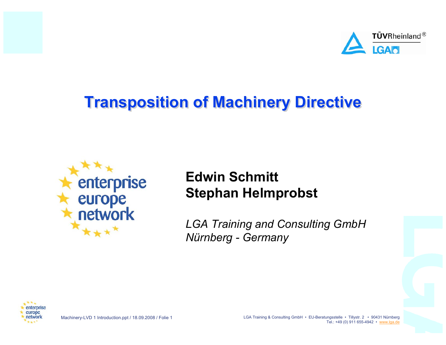

# **Transposition of Machinery Directive**



#### **Edwin SchmittStephan Helmprobst**

*LGA Training and Consulting GmbH Nürnberg - Germany*



Machinery-LVD 1 Introduction.ppt / 18.09.2008 / Folie 1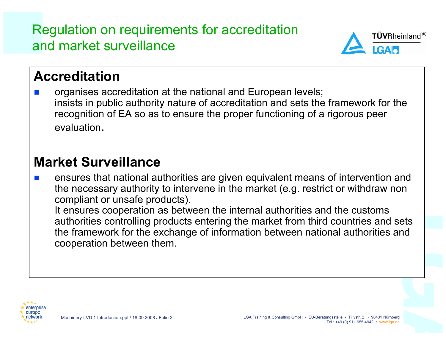Regulation on requirements for accreditation and market surveillance



## **Accreditation**

F. organises accreditation at the national and European levels; insists in public authority nature of accreditation and sets the framework for the recognition of EA so as to ensure the proper functioning of a rigorous peer evaluation.

#### **Market Surveillance**

F. ensures that national authorities are given equivalent means of intervention and the necessary authority to intervene in the market (e.g. restrict or withdraw non compliant or unsafe products).

It ensures cooperation as between the internal authorities and the customs authorities controlling products entering the market from third countries and sets the framework for the exchange of information between national authorities and cooperation between them.

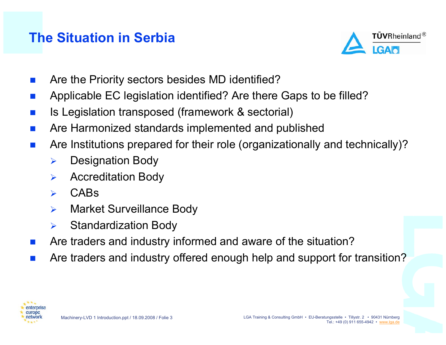## **The Situation in Serbia**



- $\overline{\mathcal{L}}$ Are the Priority sectors besides MD identified?
- $\overline{\mathcal{L}}$ Applicable EC legislation identified? Are there Gaps to be filled?
- $\overline{\mathcal{L}}$ Is Legislation transposed (framework & sectorial)
- $\overline{\mathcal{L}}$ Are Harmonized standards implemented and published
- $\overline{\mathcal{L}}$  Are Institutions prepared for their role (organizationally and technically)?
	- $\blacktriangleright$ Designation Body
	- $\blacktriangleright$ Accreditation Body
	- $\blacktriangleright$ CABs
	- $\blacktriangleright$ Market Surveillance Body
	- $\blacktriangleright$ Standardization Body
- $\overline{\mathcal{L}}$ Are traders and industry informed and aware of the situation?
- $\overline{\mathcal{L}}$ Are traders and industry offered enough help and support for transition?

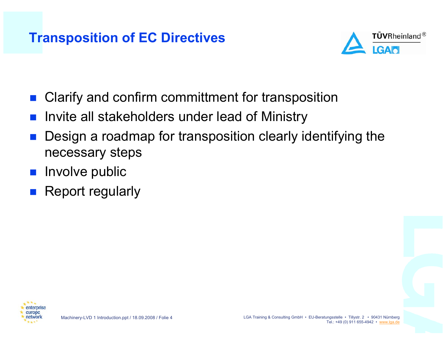#### **Transposition of EC Directives**



- Clarify and confirm committment for transposition
- H Invite all stakeholders under lead of Ministry
- H Design a roadmap for transposition clearly identifying the necessary steps
- $\blacksquare$  Involve public
- H Report regularly

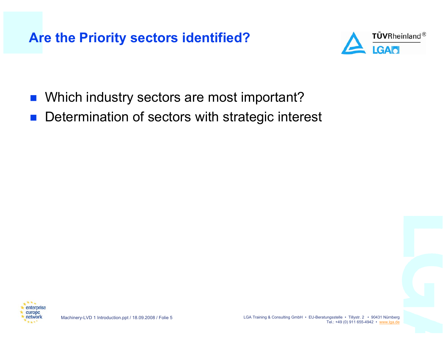#### **Are the Priority sectors identified?**



- H Which industry sectors are most important?
- H Determination of sectors with strategic interest

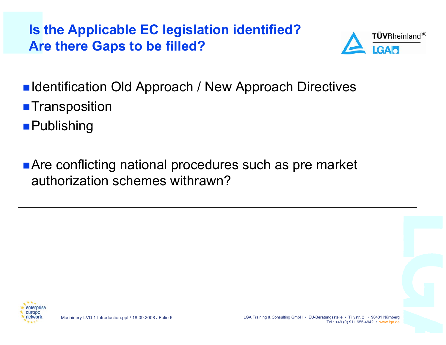**Is the Applicable EC legislation identified? Are there Gaps to be filled?**



- ■Identification Old Approach / New Approach Directives **Transposition**
- ■Publishing
- **Are conflicting national procedures such as pre market** authorization schemes withrawn?

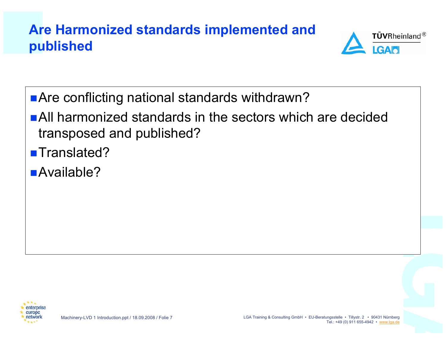## **Are Harmonized standards implemented and published**



- Are conflicting national standards withdrawn?
- All harmonized standards in the sectors which are decidedtransposed and published?
- ■Translated?
- ■Available?

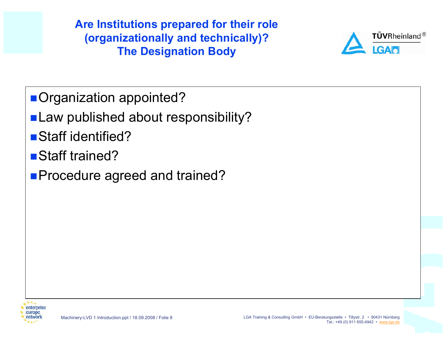**Are Institutions prepared for their role (organizationally and technically)? The Designation Body**



- Organization appointed?
- Law published about responsibility?
- Staff identified?
- Staff trained?
- **Procedure agreed and trained?**

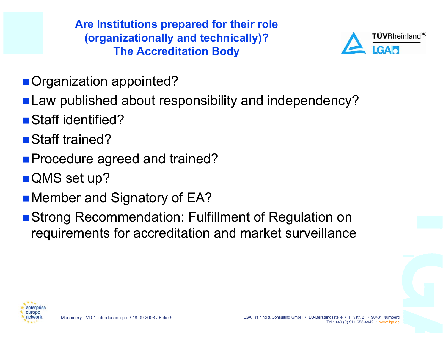**Are Institutions prepared for their role (organizationally and technically)? The Accreditation Body**



- Organization appointed?
- **Law published about responsibility and independency?**
- Staff identified?
- Staff trained?
- **Procedure agreed and trained?**
- QMS set up?
- **Nember and Signatory of EA?**
- **Strong Recommendation: Fulfillment of Regulation on** requirements for accreditation and market surveillance

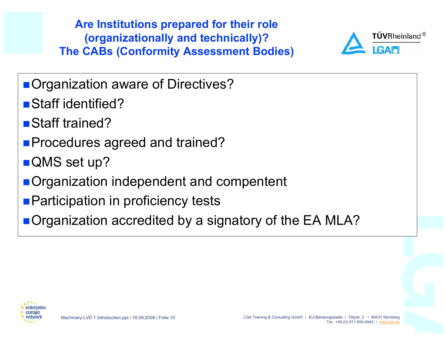**Are Institutions prepared for their role (organizationally and technically)? The CABs (Conformity Assessment Bodies)**



- **Organization aware of Directives?**
- Staff identified?
- Staff trained?
- **Procedures agreed and trained?**
- QMS set up?
- **Organization independent and compentent**
- **Participation in proficiency tests**
- **Organization accredited by a signatory of the EA MLA?**

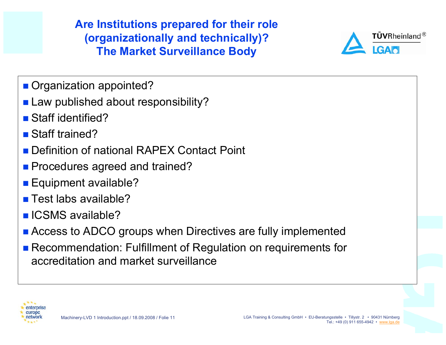**Are Institutions prepared for their role (organizationally and technically)? The Market Surveillance Body**



- Organization appointed?
- **Law published about responsibility?**
- Staff identified?
- Staff trained?
- Definition of national RAPEX Contact Point
- **Procedures agreed and trained?**
- Equipment available?
- Test labs available?
- **ICSMS** available?
- **Access to ADCO groups when Directives are fully implemented**
- Recommendation: Fulfillment of Regulation on requirements for accreditation and market surveillance

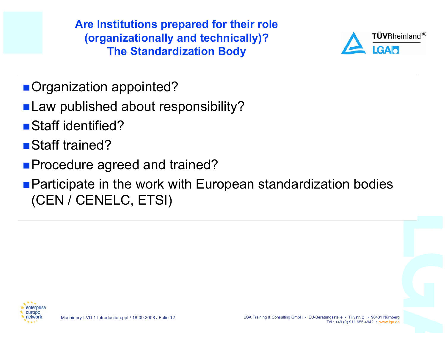**Are Institutions prepared for their role (organizationally and technically)? The Standardization Body**



- Organization appointed?
- **Law published about responsibility?**
- Staff identified?
- Staff trained?
- **Procedure agreed and trained?**
- **Participate in the work with European standardization bodies** (CEN / CENELC, ETSI)

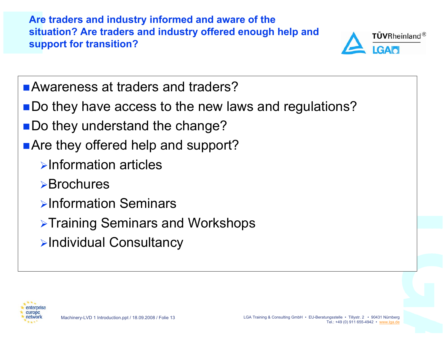**Are traders and industry informed and aware of the situation? Are traders and industry offered enough help and support for transition?**



- ■Awareness at traders and traders?
- ■Do they have access to the new laws and regulations?
- ■Do they understand the change?
- Are they offered help and support?
	- ¾Information articles
	- ¾Brochures
	- ¾Information Seminars
	- <sup>¾</sup>Training Seminars and Workshops
	- <sup>¾</sup>Individual Consultancy